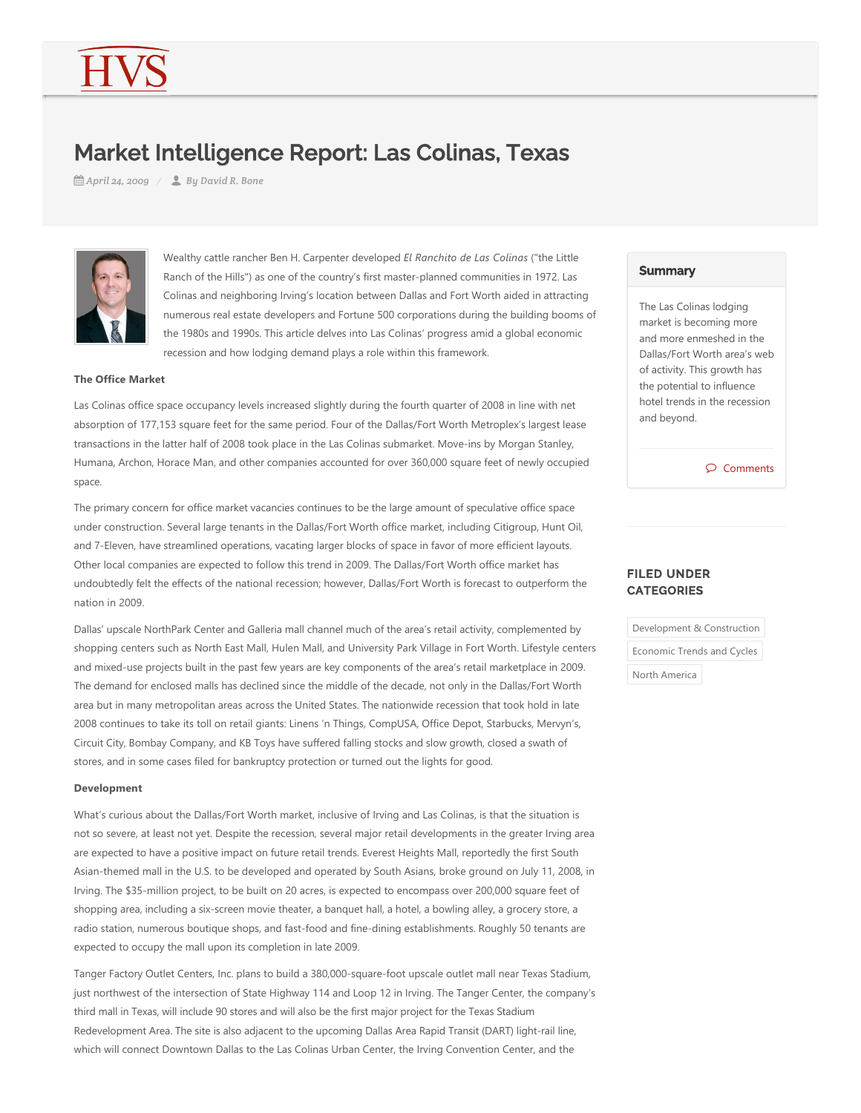# Market Intelligence Report: Las Colinas, Texas

*April 24, 2009 By David R. Bone*



Wealthy cattle rancher Ben H. Carpenter developed *El Ranchito de Las Colinas* ("the Little Ranch of the Hills") as one of the country's first master-planned communities in 1972. Las Colinas and neighboring Irving's location between Dallas and Fort Worth aided in attracting numerous real estate developers and Fortune 500 corporations during the building booms of the 1980s and 1990s. This article delves into Las Colinas' progress amid a global economic recession and how lodging demand plays a role within this framework.

# **The Office Market**

Las Colinas office space occupancy levels increased slightly during the fourth quarter of 2008 in line with net absorption of 177,153 square feet for the same period. Four of the Dallas/Fort Worth Metroplex's largest lease transactions in the latter half of 2008 took place in the Las Colinas submarket. Move-ins by Morgan Stanley, Humana, Archon, Horace Man, and other companies accounted for over 360,000 square feet of newly occupied space.

The primary concern for office market vacancies continues to be the large amount of speculative office space under construction. Several large tenants in the Dallas/Fort Worth office market, including Citigroup, Hunt Oil, and 7‐Eleven, have streamlined operations, vacating larger blocks of space in favor of more efficient layouts. Other local companies are expected to follow this trend in 2009. The Dallas/Fort Worth office market has undoubtedly felt the effects of the national recession; however, Dallas/Fort Worth is forecast to outperform the nation in 2009.

Dallas' upscale NorthPark Center and Galleria mall channel much of the area's retail activity, complemented by shopping centers such as North East Mall, Hulen Mall, and University Park Village in Fort Worth. Lifestyle centers and mixed‐use projects built in the past few years are key components of the area's retail marketplace in 2009. The demand for enclosed malls has declined since the middle of the decade, not only in the Dallas/Fort Worth area but in many metropolitan areas across the United States. The nationwide recession that took hold in late 2008 continues to take its toll on retail giants: Linens 'n Things, CompUSA, Office Depot, Starbucks, Mervyn's, Circuit City, Bombay Company, and KB Toys have suffered falling stocks and slow growth, closed a swath of stores, and in some cases filed for bankruptcy protection or turned out the lights for good.

### **Development**

What's curious about the Dallas/Fort Worth market, inclusive of Irving and Las Colinas, is that the situation is not so severe, at least not yet. Despite the recession, several major retail developments in the greater Irving area are expected to have a positive impact on future retail trends. Everest Heights Mall, reportedly the first South Asian‐themed mall in the U.S. to be developed and operated by South Asians, broke ground on July 11, 2008, in Irving. The \$35‐million project, to be built on 20 acres, is expected to encompass over 200,000 square feet of shopping area, including a six‐screen movie theater, a banquet hall, a hotel, a bowling alley, a grocery store, a radio station, numerous boutique shops, and fast-food and fine-dining establishments. Roughly 50 tenants are expected to occupy the mall upon its completion in late 2009.

Tanger Factory Outlet Centers, Inc. plans to build a 380,000‐square‐foot upscale outlet mall near Texas Stadium, just northwest of the intersection of State Highway 114 and Loop 12 in Irving. The Tanger Center, the company's third mall in Texas, will include 90 stores and will also be the first major project for the Texas Stadium Redevelopment Area. The site is also adjacent to the upcoming Dallas Area Rapid Transit (DART) light-rail line, which will connect Downtown Dallas to the Las Colinas Urban Center, the Irving Convention Center, and the

# **Summary**

The Las Colinas lodging market is becoming more and more enmeshed in the Dallas/Fort Worth area's web of activity. This growth has the potential to influence hotel trends in the recession and beyond.

Comments

# FILED UNDER **CATEGORIES**

| Development & Construction |
|----------------------------|
| Economic Trends and Cycles |
| North America              |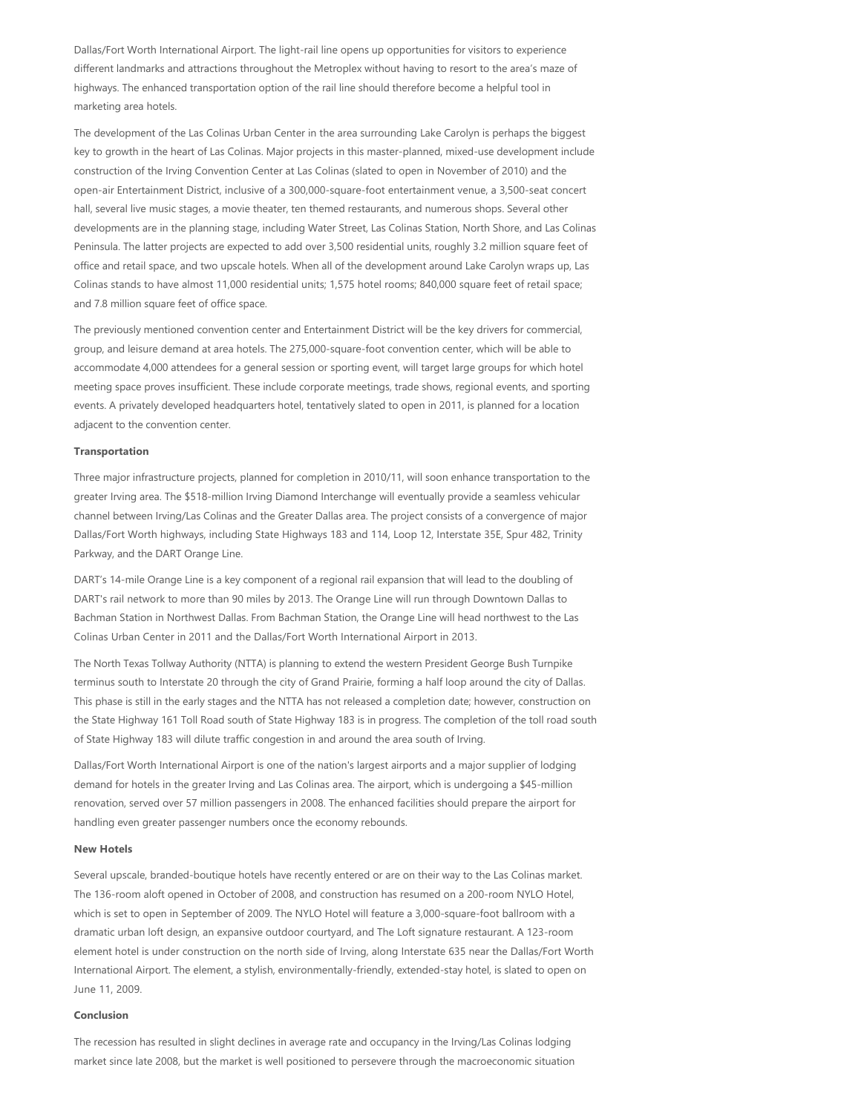Dallas/Fort Worth International Airport. The light‐rail line opens up opportunities for visitors to experience different landmarks and attractions throughout the Metroplex without having to resort to the area's maze of highways. The enhanced transportation option of the rail line should therefore become a helpful tool in marketing area hotels.

The development of the Las Colinas Urban Center in the area surrounding Lake Carolyn is perhaps the biggest key to growth in the heart of Las Colinas. Major projects in this master‐planned, mixed‐use development include construction of the Irving Convention Center at Las Colinas (slated to open in November of 2010) and the open‐air Entertainment District, inclusive of a 300,000‐square‐foot entertainment venue, a 3,500‐seat concert hall, several live music stages, a movie theater, ten themed restaurants, and numerous shops. Several other developments are in the planning stage, including Water Street, Las Colinas Station, North Shore, and Las Colinas Peninsula. The latter projects are expected to add over 3,500 residential units, roughly 3.2 million square feet of office and retail space, and two upscale hotels. When all of the development around Lake Carolyn wraps up, Las Colinas stands to have almost 11,000 residential units; 1,575 hotel rooms; 840,000 square feet of retail space; and 7.8 million square feet of office space.

The previously mentioned convention center and Entertainment District will be the key drivers for commercial, group, and leisure demand at area hotels. The 275,000‐square‐foot convention center, which will be able to accommodate 4,000 attendees for a general session or sporting event, will target large groups for which hotel meeting space proves insufficient. These include corporate meetings, trade shows, regional events, and sporting events. A privately developed headquarters hotel, tentatively slated to open in 2011, is planned for a location adjacent to the convention center.

#### **Transportation**

Three major infrastructure projects, planned for completion in 2010/11, will soon enhance transportation to the greater Irving area. The \$518‐million Irving Diamond Interchange will eventually provide a seamless vehicular channel between Irving/Las Colinas and the Greater Dallas area. The project consists of a convergence of major Dallas/Fort Worth highways, including State Highways 183 and 114, Loop 12, Interstate 35E, Spur 482, Trinity Parkway, and the DART Orange Line.

DART's 14‐mile Orange Line is a key component of a regional rail expansion that will lead to the doubling of DART's rail network to more than 90 miles by 2013. The Orange Line will run through Downtown Dallas to Bachman Station in Northwest Dallas. From Bachman Station, the Orange Line will head northwest to the Las Colinas Urban Center in 2011 and the Dallas/Fort Worth International Airport in 2013.

The North Texas Tollway Authority (NTTA) is planning to extend the western President George Bush Turnpike terminus south to Interstate 20 through the city of Grand Prairie, forming a half loop around the city of Dallas. This phase is still in the early stages and the NTTA has not released a completion date; however, construction on the State Highway 161 Toll Road south of State Highway 183 is in progress. The completion of the toll road south of State Highway 183 will dilute traffic congestion in and around the area south of Irving.

Dallas/Fort Worth International Airport is one of the nation's largest airports and a major supplier of lodging demand for hotels in the greater Irving and Las Colinas area. The airport, which is undergoing a \$45‐million renovation, served over 57 million passengers in 2008. The enhanced facilities should prepare the airport for handling even greater passenger numbers once the economy rebounds.

## **New Hotels**

Several upscale, branded‐boutique hotels have recently entered or are on their way to the Las Colinas market. The 136‐room aloft opened in October of 2008, and construction has resumed on a 200‐room NYLO Hotel, which is set to open in September of 2009. The NYLO Hotel will feature a 3,000-square-foot ballroom with a dramatic urban loft design, an expansive outdoor courtyard, and The Loft signature restaurant. A 123‐room element hotel is under construction on the north side of Irving, along Interstate 635 near the Dallas/Fort Worth International Airport. The element, a stylish, environmentally-friendly, extended-stay hotel, is slated to open on June 11, 2009.

#### **Conclusion**

The recession has resulted in slight declines in average rate and occupancy in the Irving/Las Colinas lodging market since late 2008, but the market is well positioned to persevere through the macroeconomic situation